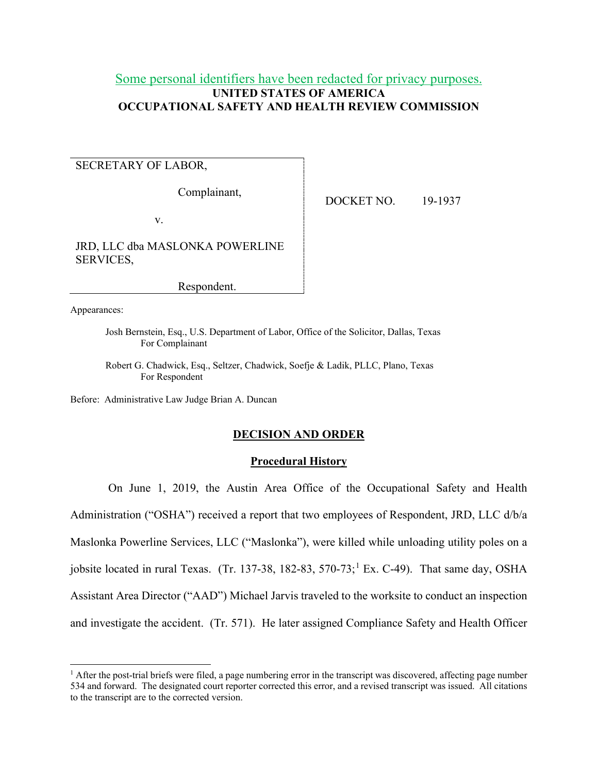# Some personal identifiers have been redacted for privacy purposes. **UNITED STATES OF AMERICA OCCUPATIONAL SAFETY AND HEALTH REVIEW COMMISSION**

# SECRETARY OF LABOR,

Complainant,

DOCKET NO. 19-1937

v.

JRD, LLC dba MASLONKA POWERLINE SERVICES,

Respondent.

Appearances:

Josh Bernstein, Esq., U.S. Department of Labor, Office of the Solicitor, Dallas, Texas For Complainant

Robert G. Chadwick, Esq., Seltzer, Chadwick, Soefje & Ladik, PLLC, Plano, Texas For Respondent

Before: Administrative Law Judge Brian A. Duncan

## **DECISION AND ORDER**

### **Procedural History**

On June 1, 2019, the Austin Area Office of the Occupational Safety and Health Administration ("OSHA") received a report that two employees of Respondent, JRD, LLC d/b/a Maslonka Powerline Services, LLC ("Maslonka"), were killed while unloading utility poles on a jobsite located in rural Texas. (Tr. 137-38, 182-83, 570-73;<sup>1</sup> Ex. C-49). That same day, OSHA Assistant Area Director ("AAD") Michael Jarvis traveled to the worksite to conduct an inspection and investigate the accident. (Tr. 571). He later assigned Compliance Safety and Health Officer

 $<sup>1</sup>$  After the post-trial briefs were filed, a page numbering error in the transcript was discovered, affecting page number</sup> 534 and forward. The designated court reporter corrected this error, and a revised transcript was issued. All citations to the transcript are to the corrected version.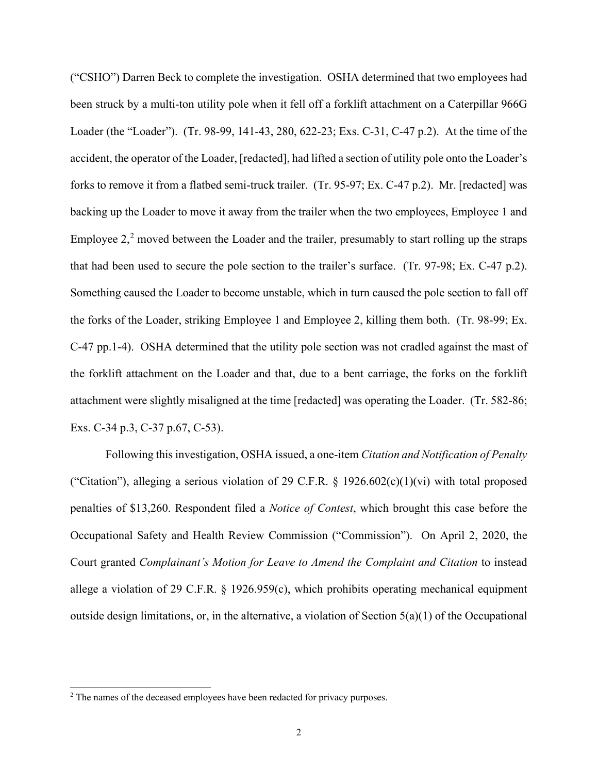("CSHO") Darren Beck to complete the investigation. OSHA determined that two employees had been struck by a multi-ton utility pole when it fell off a forklift attachment on a Caterpillar 966G Loader (the "Loader"). (Tr. 98-99, 141-43, 280, 622-23; Exs. C-31, C-47 p.2). At the time of the accident, the operator of the Loader, [redacted], had lifted a section of utility pole onto the Loader's forks to remove it from a flatbed semi-truck trailer. (Tr. 95-97; Ex. C-47 p.2). Mr. [redacted] was backing up the Loader to move it away from the trailer when the two employees, Employee 1 and Employee  $2<sup>2</sup>$  moved between the Loader and the trailer, presumably to start rolling up the straps that had been used to secure the pole section to the trailer's surface. (Tr. 97-98; Ex. C-47 p.2). Something caused the Loader to become unstable, which in turn caused the pole section to fall off the forks of the Loader, striking Employee 1 and Employee 2, killing them both. (Tr. 98-99; Ex. C-47 pp.1-4). OSHA determined that the utility pole section was not cradled against the mast of the forklift attachment on the Loader and that, due to a bent carriage, the forks on the forklift attachment were slightly misaligned at the time [redacted] was operating the Loader. (Tr. 582-86; Exs. C-34 p.3, C-37 p.67, C-53).

Following this investigation, OSHA issued, a one-item *Citation and Notification of Penalty* ("Citation"), alleging a serious violation of 29 C.F.R.  $\S$  1926.602(c)(1)(vi) with total proposed penalties of \$13,260. Respondent filed a *Notice of Contest*, which brought this case before the Occupational Safety and Health Review Commission ("Commission"). On April 2, 2020, the Court granted *Complainant's Motion for Leave to Amend the Complaint and Citation* to instead allege a violation of 29 C.F.R. § 1926.959(c), which prohibits operating mechanical equipment outside design limitations, or, in the alternative, a violation of Section  $5(a)(1)$  of the Occupational

<sup>&</sup>lt;sup>2</sup> The names of the deceased employees have been redacted for privacy purposes.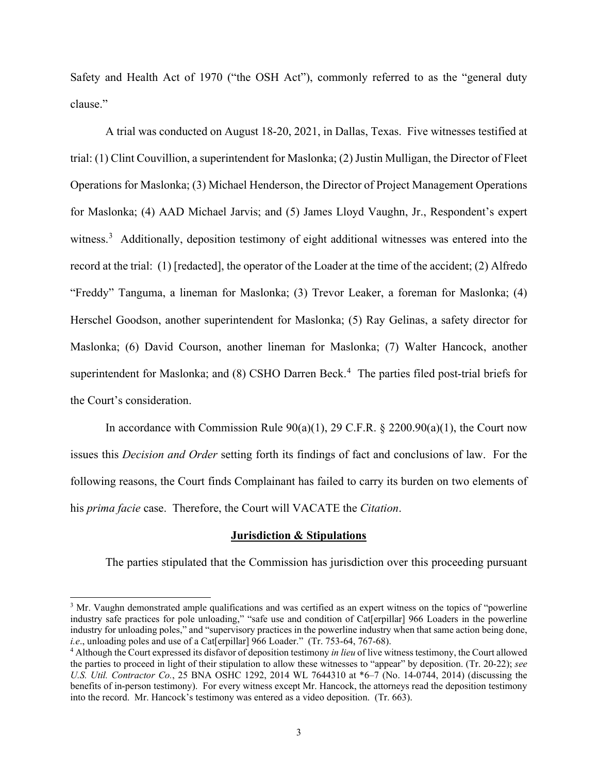Safety and Health Act of 1970 ("the OSH Act"), commonly referred to as the "general duty clause."

A trial was conducted on August 18-20, 2021, in Dallas, Texas. Five witnesses testified at trial: (1) Clint Couvillion, a superintendent for Maslonka; (2) Justin Mulligan, the Director of Fleet Operations for Maslonka; (3) Michael Henderson, the Director of Project Management Operations for Maslonka; (4) AAD Michael Jarvis; and (5) James Lloyd Vaughn, Jr., Respondent's expert witness.<sup>3</sup> Additionally, deposition testimony of eight additional witnesses was entered into the record at the trial: (1) [redacted], the operator of the Loader at the time of the accident; (2) Alfredo "Freddy" Tanguma, a lineman for Maslonka; (3) Trevor Leaker, a foreman for Maslonka; (4) Herschel Goodson, another superintendent for Maslonka; (5) Ray Gelinas, a safety director for Maslonka; (6) David Courson, another lineman for Maslonka; (7) Walter Hancock, another superintendent for Maslonka; and (8) CSHO Darren Beck.<sup>4</sup> The parties filed post-trial briefs for the Court's consideration.

In accordance with Commission Rule  $90(a)(1)$ , 29 C.F.R. § 2200.90(a)(1), the Court now issues this *Decision and Order* setting forth its findings of fact and conclusions of law. For the following reasons, the Court finds Complainant has failed to carry its burden on two elements of his *prima facie* case. Therefore, the Court will VACATE the *Citation*.

#### **Jurisdiction & Stipulations**

The parties stipulated that the Commission has jurisdiction over this proceeding pursuant

<sup>&</sup>lt;sup>3</sup> Mr. Vaughn demonstrated ample qualifications and was certified as an expert witness on the topics of "powerline industry safe practices for pole unloading," "safe use and condition of Cat[erpillar] 966 Loaders in the powerline industry for unloading poles," and "supervisory practices in the powerline industry when that same action being done, *i.e.*, unloading poles and use of a Cat[erpillar] 966 Loader." (Tr. 753-64, 767-68).

<sup>4</sup> Although the Court expressed its disfavor of deposition testimony *in lieu* of live witness testimony, the Court allowed the parties to proceed in light of their stipulation to allow these witnesses to "appear" by deposition. (Tr. 20-22); *see U.S. Util. Contractor Co.*, 25 BNA OSHC 1292, 2014 WL 7644310 at \*6–7 (No. 14-0744, 2014) (discussing the benefits of in-person testimony). For every witness except Mr. Hancock, the attorneys read the deposition testimony into the record. Mr. Hancock's testimony was entered as a video deposition. (Tr. 663).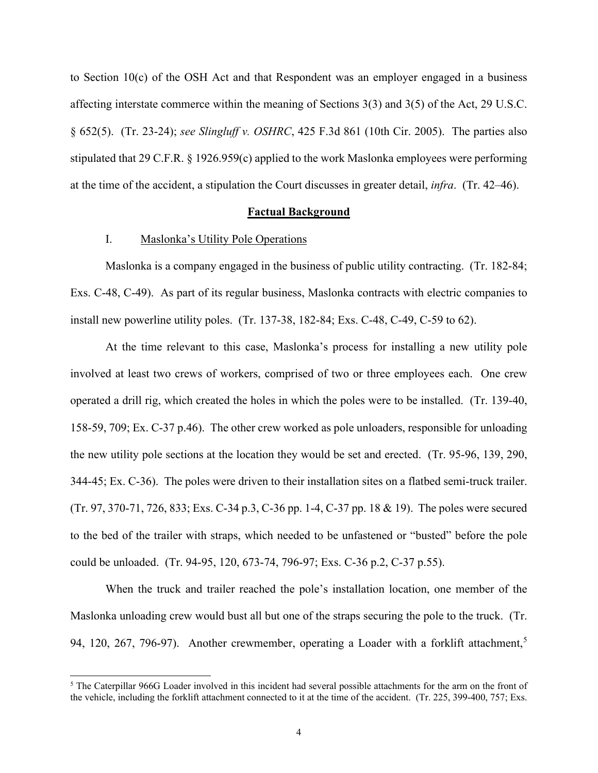to Section 10(c) of the OSH Act and that Respondent was an employer engaged in a business affecting interstate commerce within the meaning of Sections 3(3) and 3(5) of the Act, 29 U.S.C. § 652(5). (Tr. 23-24); *see Slingluff v. OSHRC*, 425 F.3d 861 (10th Cir. 2005). The parties also stipulated that 29 C.F.R. § 1926.959(c) applied to the work Maslonka employees were performing at the time of the accident, a stipulation the Court discusses in greater detail, *infra*. (Tr. 42–46).

### **Factual Background**

## I. Maslonka's Utility Pole Operations

Maslonka is a company engaged in the business of public utility contracting. (Tr. 182-84; Exs. C-48, C-49). As part of its regular business, Maslonka contracts with electric companies to install new powerline utility poles. (Tr. 137-38, 182-84; Exs. C-48, C-49, C-59 to 62).

At the time relevant to this case, Maslonka's process for installing a new utility pole involved at least two crews of workers, comprised of two or three employees each. One crew operated a drill rig, which created the holes in which the poles were to be installed. (Tr. 139-40, 158-59, 709; Ex. C-37 p.46). The other crew worked as pole unloaders, responsible for unloading the new utility pole sections at the location they would be set and erected. (Tr. 95-96, 139, 290, 344-45; Ex. C-36). The poles were driven to their installation sites on a flatbed semi-truck trailer. (Tr. 97, 370-71, 726, 833; Exs. C-34 p.3, C-36 pp. 1-4, C-37 pp. 18 & 19). The poles were secured to the bed of the trailer with straps, which needed to be unfastened or "busted" before the pole could be unloaded. (Tr. 94-95, 120, 673-74, 796-97; Exs. C-36 p.2, C-37 p.55).

When the truck and trailer reached the pole's installation location, one member of the Maslonka unloading crew would bust all but one of the straps securing the pole to the truck. (Tr. 94, 120, 267, 796-97). Another crewmember, operating a Loader with a forklift attachment,<sup>5</sup>

<sup>&</sup>lt;sup>5</sup> The Caterpillar 966G Loader involved in this incident had several possible attachments for the arm on the front of the vehicle, including the forklift attachment connected to it at the time of the accident. (Tr. 225, 399-400, 757; Exs.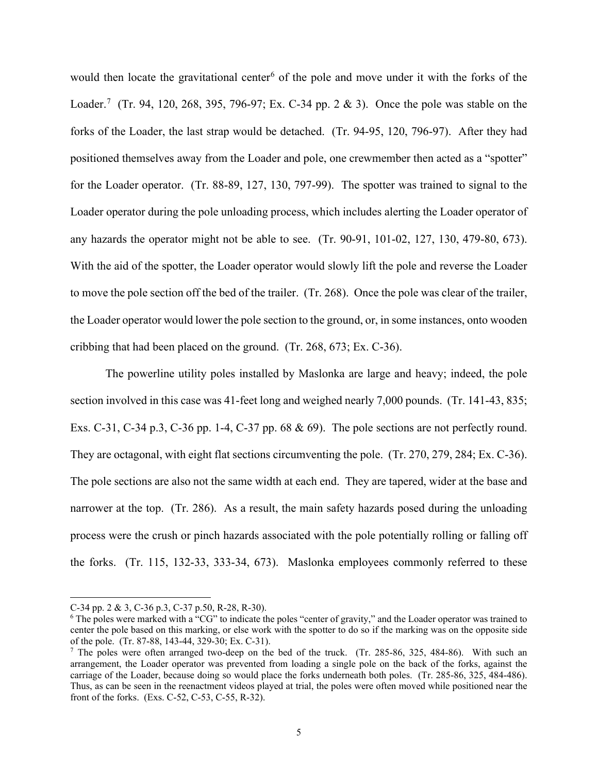would then locate the gravitational center<sup>6</sup> of the pole and move under it with the forks of the Loader.<sup>7</sup> (Tr. 94, 120, 268, 395, 796-97; Ex. C-34 pp. 2 & 3). Once the pole was stable on the forks of the Loader, the last strap would be detached. (Tr. 94-95, 120, 796-97). After they had positioned themselves away from the Loader and pole, one crewmember then acted as a "spotter" for the Loader operator. (Tr. 88-89, 127, 130, 797-99). The spotter was trained to signal to the Loader operator during the pole unloading process, which includes alerting the Loader operator of any hazards the operator might not be able to see. (Tr. 90-91, 101-02, 127, 130, 479-80, 673). With the aid of the spotter, the Loader operator would slowly lift the pole and reverse the Loader to move the pole section off the bed of the trailer. (Tr. 268). Once the pole was clear of the trailer, the Loader operator would lower the pole section to the ground, or, in some instances, onto wooden cribbing that had been placed on the ground. (Tr. 268, 673; Ex. C-36).

The powerline utility poles installed by Maslonka are large and heavy; indeed, the pole section involved in this case was 41-feet long and weighed nearly 7,000 pounds. (Tr. 141-43, 835; Exs. C-31, C-34 p.3, C-36 pp. 1-4, C-37 pp. 68 & 69). The pole sections are not perfectly round. They are octagonal, with eight flat sections circumventing the pole. (Tr. 270, 279, 284; Ex. C-36). The pole sections are also not the same width at each end. They are tapered, wider at the base and narrower at the top. (Tr. 286). As a result, the main safety hazards posed during the unloading process were the crush or pinch hazards associated with the pole potentially rolling or falling off the forks. (Tr. 115, 132-33, 333-34, 673). Maslonka employees commonly referred to these

C-34 pp. 2 & 3, C-36 p.3, C-37 p.50, R-28, R-30).

<sup>6</sup> The poles were marked with a "CG" to indicate the poles "center of gravity," and the Loader operator was trained to center the pole based on this marking, or else work with the spotter to do so if the marking was on the opposite side of the pole. (Tr. 87-88, 143-44, 329-30; Ex. C-31).

<sup>&</sup>lt;sup>7</sup> The poles were often arranged two-deep on the bed of the truck. (Tr. 285-86, 325, 484-86). With such an arrangement, the Loader operator was prevented from loading a single pole on the back of the forks, against the carriage of the Loader, because doing so would place the forks underneath both poles. (Tr. 285-86, 325, 484-486). Thus, as can be seen in the reenactment videos played at trial, the poles were often moved while positioned near the front of the forks. (Exs. C-52, C-53, C-55, R-32).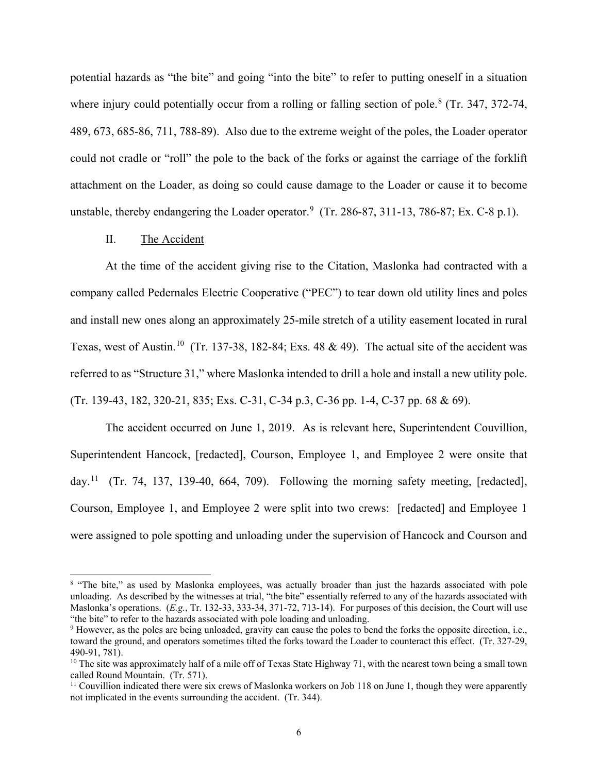potential hazards as "the bite" and going "into the bite" to refer to putting oneself in a situation where injury could potentially occur from a rolling or falling section of pole.<sup>8</sup> (Tr. 347, 372-74, 489, 673, 685-86, 711, 788-89). Also due to the extreme weight of the poles, the Loader operator could not cradle or "roll" the pole to the back of the forks or against the carriage of the forklift attachment on the Loader, as doing so could cause damage to the Loader or cause it to become unstable, thereby endangering the Loader operator. $9$  (Tr. 286-87, 311-13, 786-87; Ex. C-8 p.1).

#### II. The Accident

At the time of the accident giving rise to the Citation, Maslonka had contracted with a company called Pedernales Electric Cooperative ("PEC") to tear down old utility lines and poles and install new ones along an approximately 25-mile stretch of a utility easement located in rural Texas, west of Austin.10 (Tr. 137-38, 182-84; Exs. 48 & 49). The actual site of the accident was referred to as "Structure 31," where Maslonka intended to drill a hole and install a new utility pole. (Tr. 139-43, 182, 320-21, 835; Exs. C-31, C-34 p.3, C-36 pp. 1-4, C-37 pp. 68 & 69).

The accident occurred on June 1, 2019. As is relevant here, Superintendent Couvillion, Superintendent Hancock, [redacted], Courson, Employee 1, and Employee 2 were onsite that day.<sup>11</sup> (Tr. 74, 137, 139-40, 664, 709). Following the morning safety meeting, [redacted], Courson, Employee 1, and Employee 2 were split into two crews: [redacted] and Employee 1 were assigned to pole spotting and unloading under the supervision of Hancock and Courson and

<sup>&</sup>lt;sup>8</sup> "The bite," as used by Maslonka employees, was actually broader than just the hazards associated with pole unloading. As described by the witnesses at trial, "the bite" essentially referred to any of the hazards associated with Maslonka's operations. (*E.g.*, Tr. 132-33, 333-34, 371-72, 713-14). For purposes of this decision, the Court will use "the bite" to refer to the hazards associated with pole loading and unloading.

<sup>9</sup> However, as the poles are being unloaded, gravity can cause the poles to bend the forks the opposite direction, i.e., toward the ground, and operators sometimes tilted the forks toward the Loader to counteract this effect. (Tr. 327-29, 490-91, 781).<br><sup>10</sup> The site was approximately half of a mile off of Texas State Highway 71, with the nearest town being a small town

called Round Mountain. (Tr. 571).

<sup>&</sup>lt;sup>11</sup> Couvillion indicated there were six crews of Maslonka workers on Job 118 on June 1, though they were apparently not implicated in the events surrounding the accident. (Tr. 344).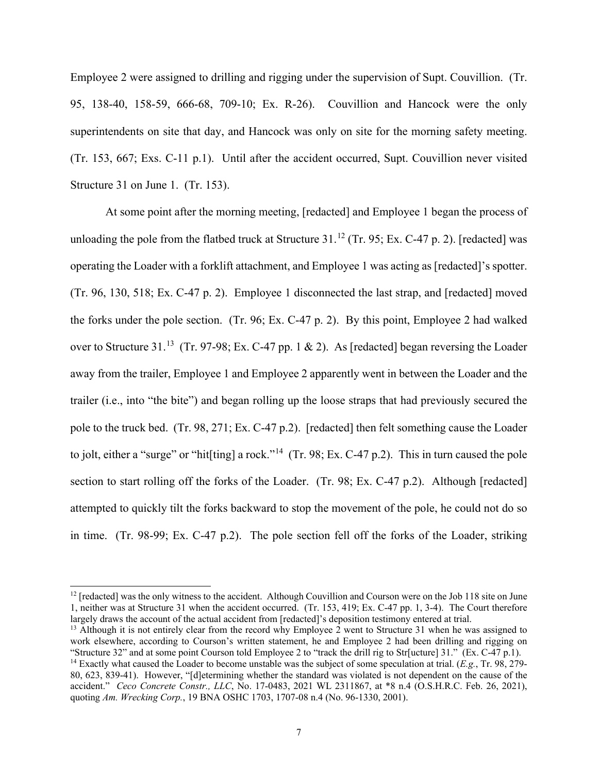Employee 2 were assigned to drilling and rigging under the supervision of Supt. Couvillion. (Tr. 95, 138-40, 158-59, 666-68, 709-10; Ex. R-26). Couvillion and Hancock were the only superintendents on site that day, and Hancock was only on site for the morning safety meeting. (Tr. 153, 667; Exs. C-11 p.1). Until after the accident occurred, Supt. Couvillion never visited Structure 31 on June 1. (Tr. 153).

At some point after the morning meeting, [redacted] and Employee 1 began the process of unloading the pole from the flatbed truck at Structure  $31.^{12}$  (Tr. 95; Ex. C-47 p. 2). [redacted] was operating the Loader with a forklift attachment, and Employee 1 was acting as [redacted]'s spotter. (Tr. 96, 130, 518; Ex. C-47 p. 2). Employee 1 disconnected the last strap, and [redacted] moved the forks under the pole section. (Tr. 96; Ex. C-47 p. 2). By this point, Employee 2 had walked over to Structure 31.<sup>13</sup> (Tr. 97-98; Ex. C-47 pp. 1 & 2). As [redacted] began reversing the Loader away from the trailer, Employee 1 and Employee 2 apparently went in between the Loader and the trailer (i.e., into "the bite") and began rolling up the loose straps that had previously secured the pole to the truck bed. (Tr. 98, 271; Ex. C-47 p.2). [redacted] then felt something cause the Loader to jolt, either a "surge" or "hit[ting] a rock."<sup>14</sup> (Tr. 98; Ex. C-47 p.2). This in turn caused the pole section to start rolling off the forks of the Loader. (Tr. 98; Ex. C-47 p.2). Although [redacted] attempted to quickly tilt the forks backward to stop the movement of the pole, he could not do so in time. (Tr. 98-99; Ex. C-47 p.2). The pole section fell off the forks of the Loader, striking

<sup>&</sup>lt;sup>12</sup> [redacted] was the only witness to the accident. Although Couvillion and Courson were on the Job 118 site on June 1, neither was at Structure 31 when the accident occurred. (Tr. 153, 419; Ex. C-47 pp. 1, 3-4). The Court therefore largely draws the account of the actual accident from [redacted]'s deposition testimony entered at trial.

<sup>&</sup>lt;sup>13</sup> Although it is not entirely clear from the record why Employee 2 went to Structure 31 when he was assigned to work elsewhere, according to Courson's written statement, he and Employee 2 had been drilling and rigging on "Structure 32" and at some point Courson told Employee 2 to "track the drill rig to Str[ucture] 31." (Ex. C-47 p.1).<br><sup>14</sup> Exactly what caused the Loader to become unstable was the subject of some speculation at trial. (*E* 

<sup>80, 623, 839-41).</sup> However, "[d]etermining whether the standard was violated is not dependent on the cause of the accident." *Ceco Concrete Constr., LLC*, No. 17-0483, 2021 WL 2311867, at \*8 n.4 (O.S.H.R.C. Feb. 26, 2021), quoting *Am. Wrecking Corp.*, 19 BNA OSHC 1703, 1707-08 n.4 (No. 96-1330, 2001).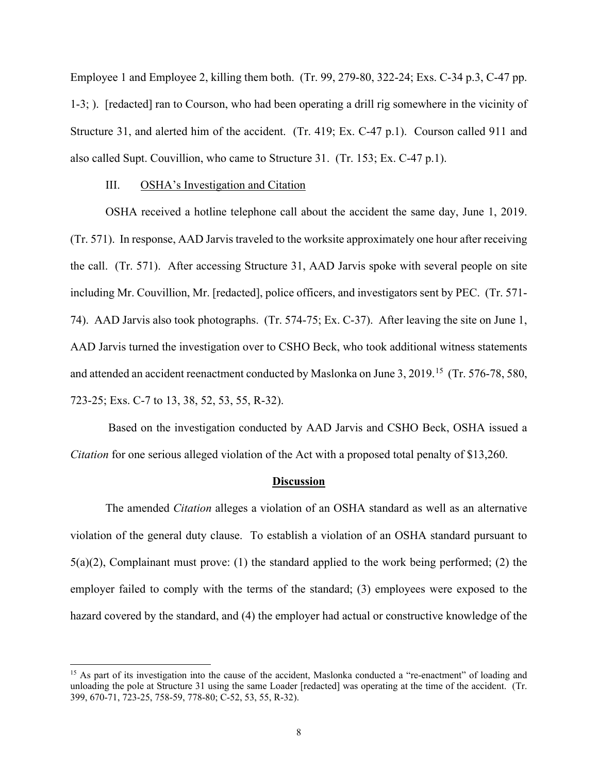Employee 1 and Employee 2, killing them both. (Tr. 99, 279-80, 322-24; Exs. C-34 p.3, C-47 pp. 1-3; ). [redacted] ran to Courson, who had been operating a drill rig somewhere in the vicinity of Structure 31, and alerted him of the accident. (Tr. 419; Ex. C-47 p.1). Courson called 911 and also called Supt. Couvillion, who came to Structure 31. (Tr. 153; Ex. C-47 p.1).

#### III. OSHA's Investigation and Citation

OSHA received a hotline telephone call about the accident the same day, June 1, 2019. (Tr. 571). In response, AAD Jarvis traveled to the worksite approximately one hour after receiving the call. (Tr. 571). After accessing Structure 31, AAD Jarvis spoke with several people on site including Mr. Couvillion, Mr. [redacted], police officers, and investigators sent by PEC. (Tr. 571- 74). AAD Jarvis also took photographs. (Tr. 574-75; Ex. C-37). After leaving the site on June 1, AAD Jarvis turned the investigation over to CSHO Beck, who took additional witness statements and attended an accident reenactment conducted by Maslonka on June 3, 2019.<sup>15</sup> (Tr. 576-78, 580, 723-25; Exs. C-7 to 13, 38, 52, 53, 55, R-32).

Based on the investigation conducted by AAD Jarvis and CSHO Beck, OSHA issued a *Citation* for one serious alleged violation of the Act with a proposed total penalty of \$13,260.

#### **Discussion**

The amended *Citation* alleges a violation of an OSHA standard as well as an alternative violation of the general duty clause. To establish a violation of an OSHA standard pursuant to  $5(a)(2)$ , Complainant must prove: (1) the standard applied to the work being performed; (2) the employer failed to comply with the terms of the standard; (3) employees were exposed to the hazard covered by the standard, and (4) the employer had actual or constructive knowledge of the

<sup>&</sup>lt;sup>15</sup> As part of its investigation into the cause of the accident, Maslonka conducted a "re-enactment" of loading and unloading the pole at Structure 31 using the same Loader [redacted] was operating at the time of the accident. (Tr. 399, 670-71, 723-25, 758-59, 778-80; C-52, 53, 55, R-32).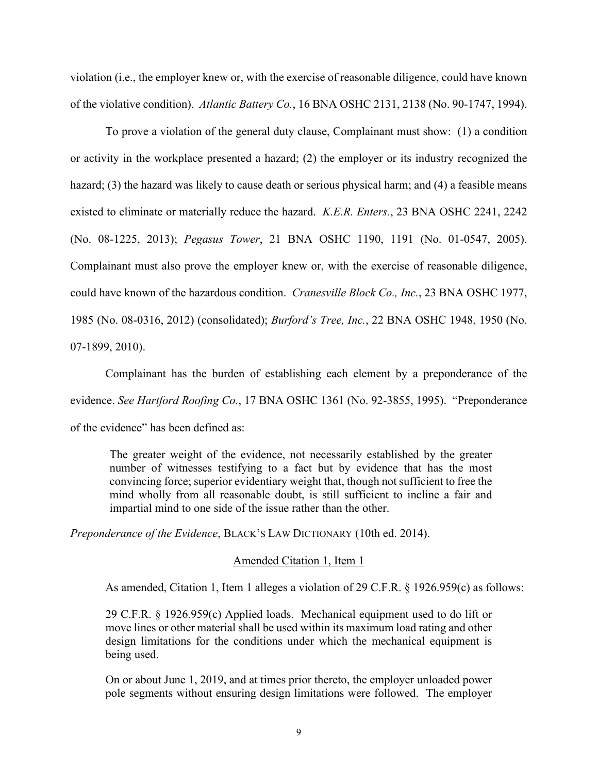violation (i.e., the employer knew or, with the exercise of reasonable diligence, could have known of the violative condition). *Atlantic Battery Co.*, 16 BNA OSHC 2131, 2138 (No. 90-1747, 1994).

To prove a violation of the general duty clause, Complainant must show: (1) a condition or activity in the workplace presented a hazard; (2) the employer or its industry recognized the hazard; (3) the hazard was likely to cause death or serious physical harm; and (4) a feasible means existed to eliminate or materially reduce the hazard. *K.E.R. Enters.*, 23 BNA OSHC 2241, 2242 (No. 08-1225, 2013); *Pegasus Tower*, 21 BNA OSHC 1190, 1191 (No. 01-0547, 2005). Complainant must also prove the employer knew or, with the exercise of reasonable diligence, could have known of the hazardous condition. *Cranesville Block Co., Inc.*, 23 BNA OSHC 1977, 1985 (No. 08-0316, 2012) (consolidated); *Burford's Tree, Inc.*, 22 BNA OSHC 1948, 1950 (No. 07-1899, 2010).

Complainant has the burden of establishing each element by a preponderance of the evidence. *See Hartford Roofing Co.*, 17 BNA OSHC 1361 (No. 92-3855, 1995). "Preponderance of the evidence" has been defined as:

The greater weight of the evidence, not necessarily established by the greater number of witnesses testifying to a fact but by evidence that has the most convincing force; superior evidentiary weight that, though not sufficient to free the mind wholly from all reasonable doubt, is still sufficient to incline a fair and impartial mind to one side of the issue rather than the other.

*Preponderance of the Evidence*, BLACK'S LAW DICTIONARY (10th ed. 2014).

## Amended Citation 1, Item 1

As amended, Citation 1, Item 1 alleges a violation of 29 C.F.R. § 1926.959(c) as follows:

29 C.F.R. § 1926.959(c) Applied loads. Mechanical equipment used to do lift or move lines or other material shall be used within its maximum load rating and other design limitations for the conditions under which the mechanical equipment is being used.

On or about June 1, 2019, and at times prior thereto, the employer unloaded power pole segments without ensuring design limitations were followed. The employer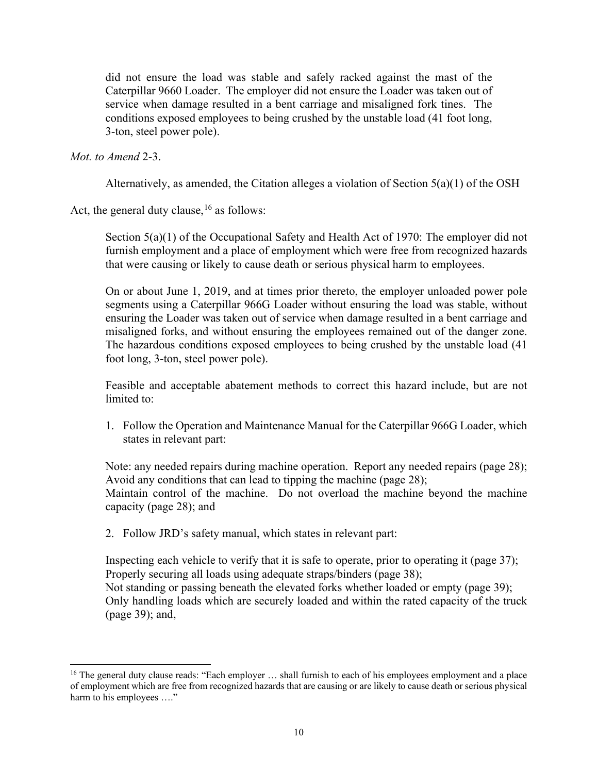did not ensure the load was stable and safely racked against the mast of the Caterpillar 9660 Loader. The employer did not ensure the Loader was taken out of service when damage resulted in a bent carriage and misaligned fork tines. The conditions exposed employees to being crushed by the unstable load (41 foot long, 3-ton, steel power pole).

*Mot. to Amend* 2-3.

Alternatively, as amended, the Citation alleges a violation of Section  $5(a)(1)$  of the OSH

Act, the general duty clause,  $16$  as follows:

Section 5(a)(1) of the Occupational Safety and Health Act of 1970: The employer did not furnish employment and a place of employment which were free from recognized hazards that were causing or likely to cause death or serious physical harm to employees.

On or about June 1, 2019, and at times prior thereto, the employer unloaded power pole segments using a Caterpillar 966G Loader without ensuring the load was stable, without ensuring the Loader was taken out of service when damage resulted in a bent carriage and misaligned forks, and without ensuring the employees remained out of the danger zone. The hazardous conditions exposed employees to being crushed by the unstable load (41 foot long, 3-ton, steel power pole).

Feasible and acceptable abatement methods to correct this hazard include, but are not limited to:

1. Follow the Operation and Maintenance Manual for the Caterpillar 966G Loader, which states in relevant part:

Note: any needed repairs during machine operation. Report any needed repairs (page 28); Avoid any conditions that can lead to tipping the machine (page 28); Maintain control of the machine. Do not overload the machine beyond the machine capacity (page 28); and

2. Follow JRD's safety manual, which states in relevant part:

Inspecting each vehicle to verify that it is safe to operate, prior to operating it (page 37); Properly securing all loads using adequate straps/binders (page 38); Not standing or passing beneath the elevated forks whether loaded or empty (page 39); Only handling loads which are securely loaded and within the rated capacity of the truck (page 39); and,

<sup>&</sup>lt;sup>16</sup> The general duty clause reads: "Each employer  $\ldots$  shall furnish to each of his employees employment and a place of employment which are free from recognized hazards that are causing or are likely to cause death or serious physical harm to his employees ...."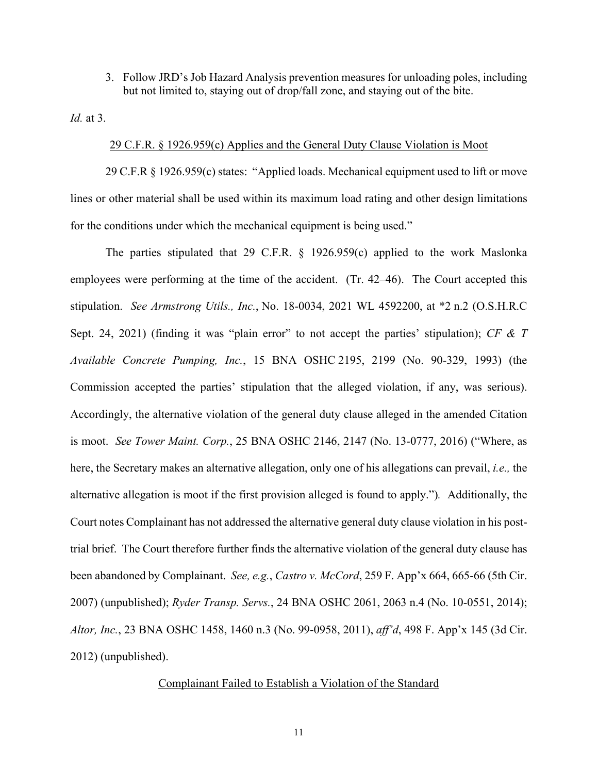3. Follow JRD's Job Hazard Analysis prevention measures for unloading poles, including but not limited to, staying out of drop/fall zone, and staying out of the bite.

*Id.* at 3.

## 29 C.F.R. § 1926.959(c) Applies and the General Duty Clause Violation is Moot

29 C.F.R § 1926.959(c) states: "Applied loads. Mechanical equipment used to lift or move lines or other material shall be used within its maximum load rating and other design limitations for the conditions under which the mechanical equipment is being used."

The parties stipulated that 29 C.F.R. § 1926.959(c) applied to the work Maslonka employees were performing at the time of the accident. (Tr. 42–46). The Court accepted this stipulation. *See Armstrong Utils., Inc.*, No. 18-0034, 2021 WL 4592200, at \*2 n.2 (O.S.H.R.C Sept. 24, 2021) (finding it was "plain error" to not accept the parties' stipulation); *CF & T Available Concrete Pumping, Inc.*, 15 BNA OSHC 2195, 2199 (No. 90-329, 1993) (the Commission accepted the parties' stipulation that the alleged violation, if any, was serious). Accordingly, the alternative violation of the general duty clause alleged in the amended Citation is moot. *See Tower Maint. Corp.*, 25 BNA OSHC 2146, 2147 (No. 13-0777, 2016) ("Where, as here, the Secretary makes an alternative allegation, only one of his allegations can prevail, *i.e.,* the alternative allegation is moot if the first provision alleged is found to apply.")*.* Additionally, the Court notes Complainant has not addressed the alternative general duty clause violation in his posttrial brief. The Court therefore further finds the alternative violation of the general duty clause has been abandoned by Complainant. *See, e.g.*, *Castro v. McCord*, 259 F. App'x 664, 665-66 (5th Cir. 2007) (unpublished); *Ryder Transp. Servs.*, 24 BNA OSHC 2061, 2063 n.4 (No. 10-0551, 2014); *Altor, Inc.*, 23 BNA OSHC 1458, 1460 n.3 (No. 99-0958, 2011), *aff'd*, 498 F. App'x 145 (3d Cir. 2012) (unpublished).

# Complainant Failed to Establish a Violation of the Standard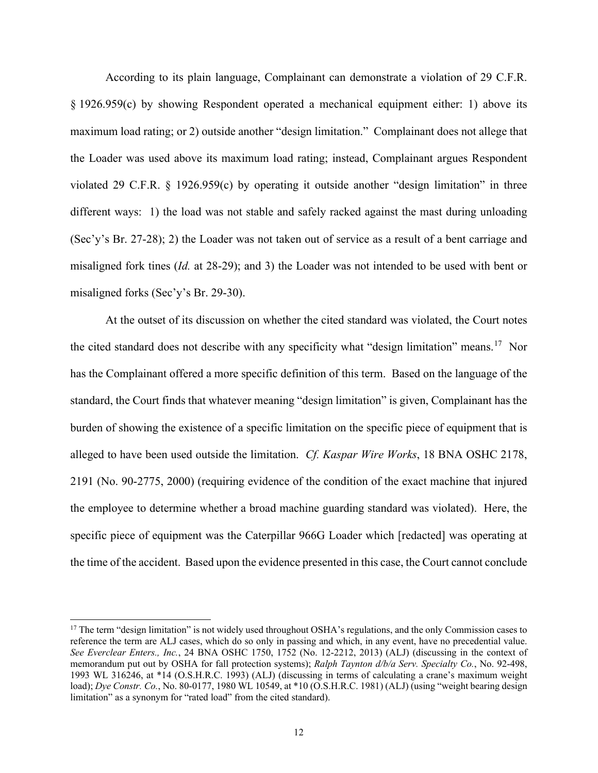According to its plain language, Complainant can demonstrate a violation of 29 C.F.R. § 1926.959(c) by showing Respondent operated a mechanical equipment either: 1) above its maximum load rating; or 2) outside another "design limitation." Complainant does not allege that the Loader was used above its maximum load rating; instead, Complainant argues Respondent violated 29 C.F.R. § 1926.959(c) by operating it outside another "design limitation" in three different ways: 1) the load was not stable and safely racked against the mast during unloading (Sec'y's Br. 27-28); 2) the Loader was not taken out of service as a result of a bent carriage and misaligned fork tines (*Id.* at 28-29); and 3) the Loader was not intended to be used with bent or misaligned forks (Sec'y's Br. 29-30).

At the outset of its discussion on whether the cited standard was violated, the Court notes the cited standard does not describe with any specificity what "design limitation" means.17 Nor has the Complainant offered a more specific definition of this term. Based on the language of the standard, the Court finds that whatever meaning "design limitation" is given, Complainant has the burden of showing the existence of a specific limitation on the specific piece of equipment that is alleged to have been used outside the limitation. *Cf. Kaspar Wire Works*, 18 BNA OSHC 2178, 2191 (No. 90-2775, 2000) (requiring evidence of the condition of the exact machine that injured the employee to determine whether a broad machine guarding standard was violated). Here, the specific piece of equipment was the Caterpillar 966G Loader which [redacted] was operating at the time of the accident. Based upon the evidence presented in this case, the Court cannot conclude

<sup>&</sup>lt;sup>17</sup> The term "design limitation" is not widely used throughout OSHA's regulations, and the only Commission cases to reference the term are ALJ cases, which do so only in passing and which, in any event, have no precedential value. *See Everclear Enters., Inc.*, 24 BNA OSHC 1750, 1752 (No. 12-2212, 2013) (ALJ) (discussing in the context of memorandum put out by OSHA for fall protection systems); *Ralph Taynton d/b/a Serv. Specialty Co.*, No. 92-498, 1993 WL 316246, at \*14 (O.S.H.R.C. 1993) (ALJ) (discussing in terms of calculating a crane's maximum weight load); *Dye Constr. Co.*, No. 80-0177, 1980 WL 10549, at \*10 (O.S.H.R.C. 1981) (ALJ) (using "weight bearing design limitation" as a synonym for "rated load" from the cited standard).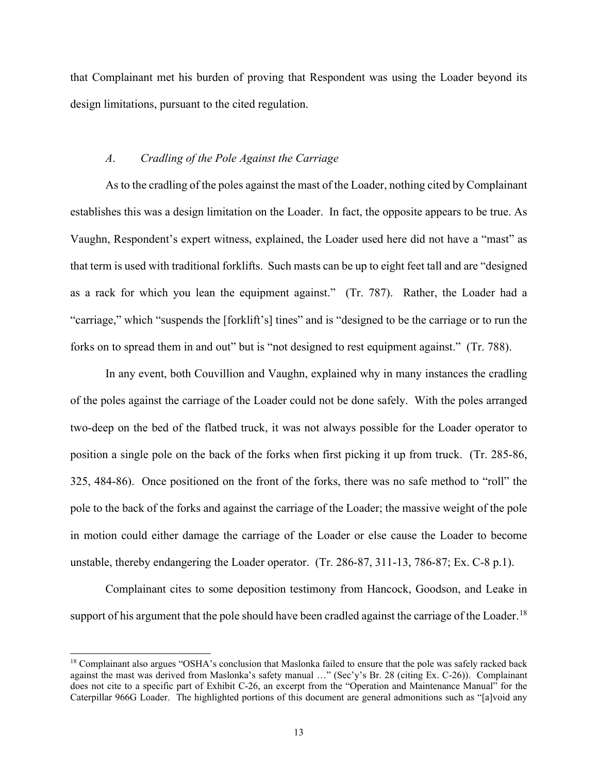that Complainant met his burden of proving that Respondent was using the Loader beyond its design limitations, pursuant to the cited regulation.

### *A*. *Cradling of the Pole Against the Carriage*

As to the cradling of the poles against the mast of the Loader, nothing cited by Complainant establishes this was a design limitation on the Loader. In fact, the opposite appears to be true. As Vaughn, Respondent's expert witness, explained, the Loader used here did not have a "mast" as that term is used with traditional forklifts. Such masts can be up to eight feet tall and are "designed as a rack for which you lean the equipment against." (Tr. 787). Rather, the Loader had a "carriage," which "suspends the [forklift's] tines" and is "designed to be the carriage or to run the forks on to spread them in and out" but is "not designed to rest equipment against." (Tr. 788).

In any event, both Couvillion and Vaughn, explained why in many instances the cradling of the poles against the carriage of the Loader could not be done safely. With the poles arranged two-deep on the bed of the flatbed truck, it was not always possible for the Loader operator to position a single pole on the back of the forks when first picking it up from truck. (Tr. 285-86, 325, 484-86). Once positioned on the front of the forks, there was no safe method to "roll" the pole to the back of the forks and against the carriage of the Loader; the massive weight of the pole in motion could either damage the carriage of the Loader or else cause the Loader to become unstable, thereby endangering the Loader operator. (Tr. 286-87, 311-13, 786-87; Ex. C-8 p.1).

Complainant cites to some deposition testimony from Hancock, Goodson, and Leake in support of his argument that the pole should have been cradled against the carriage of the Loader.<sup>18</sup>

<sup>&</sup>lt;sup>18</sup> Complainant also argues "OSHA's conclusion that Maslonka failed to ensure that the pole was safely racked back against the mast was derived from Maslonka's safety manual …" (Sec'y's Br. 28 (citing Ex. C-26)). Complainant does not cite to a specific part of Exhibit C-26, an excerpt from the "Operation and Maintenance Manual" for the Caterpillar 966G Loader. The highlighted portions of this document are general admonitions such as "[a]void any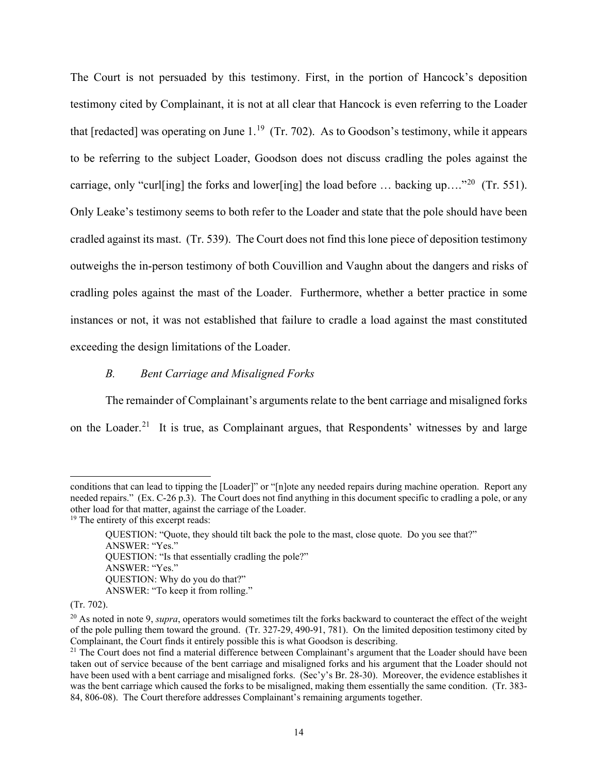The Court is not persuaded by this testimony. First, in the portion of Hancock's deposition testimony cited by Complainant, it is not at all clear that Hancock is even referring to the Loader that [redacted] was operating on June  $1.^{19}$  (Tr. 702). As to Goodson's testimony, while it appears to be referring to the subject Loader, Goodson does not discuss cradling the poles against the carriage, only "curl[ing] the forks and lower[ing] the load before ... backing up...."<sup>20</sup> (Tr. 551). Only Leake's testimony seems to both refer to the Loader and state that the pole should have been cradled against its mast. (Tr. 539). The Court does not find this lone piece of deposition testimony outweighs the in-person testimony of both Couvillion and Vaughn about the dangers and risks of cradling poles against the mast of the Loader. Furthermore, whether a better practice in some instances or not, it was not established that failure to cradle a load against the mast constituted exceeding the design limitations of the Loader.

### *B. Bent Carriage and Misaligned Forks*

The remainder of Complainant's arguments relate to the bent carriage and misaligned forks on the Loader.<sup>21</sup> It is true, as Complainant argues, that Respondents' witnesses by and large

conditions that can lead to tipping the [Loader]" or "[n]ote any needed repairs during machine operation. Report any needed repairs." (Ex. C-26 p.3). The Court does not find anything in this document specific to cradling a pole, or any other load for that matter, against the carriage of the Loader. 19 The entirety of this excerpt reads:

QUESTION: "Quote, they should tilt back the pole to the mast, close quote. Do you see that?" ANSWER: "Yes." QUESTION: "Is that essentially cradling the pole?" ANSWER: "Yes." QUESTION: Why do you do that?" ANSWER: "To keep it from rolling."

<sup>(</sup>Tr. 702).

<sup>&</sup>lt;sup>20</sup> As noted in note 9, *supra*, operators would sometimes tilt the forks backward to counteract the effect of the weight of the pole pulling them toward the ground. (Tr. 327-29, 490-91, 781). On the limited deposition testimony cited by Complainant, the Court finds it entirely possible this is what Goodson is describing.

 $21$  The Court does not find a material difference between Complainant's argument that the Loader should have been taken out of service because of the bent carriage and misaligned forks and his argument that the Loader should not have been used with a bent carriage and misaligned forks. (Sec'y's Br. 28-30). Moreover, the evidence establishes it was the bent carriage which caused the forks to be misaligned, making them essentially the same condition. (Tr. 383- 84, 806-08). The Court therefore addresses Complainant's remaining arguments together.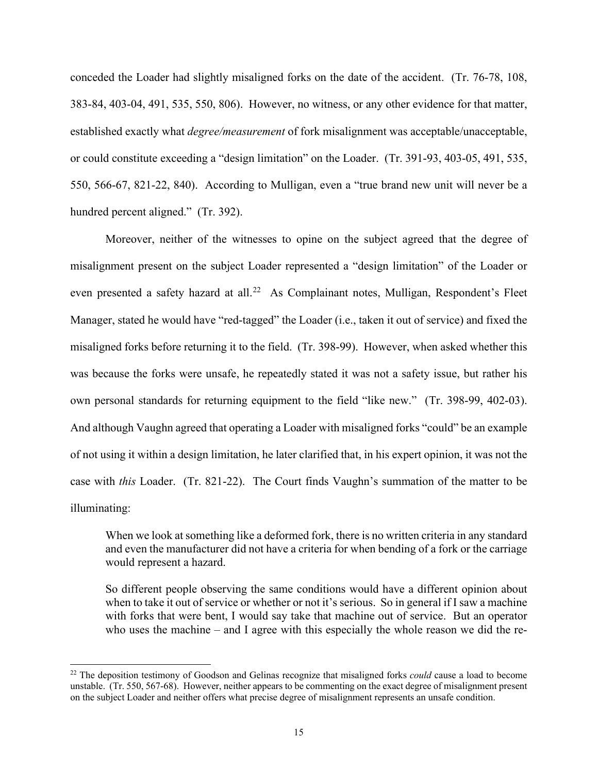conceded the Loader had slightly misaligned forks on the date of the accident. (Tr. 76-78, 108, 383-84, 403-04, 491, 535, 550, 806). However, no witness, or any other evidence for that matter, established exactly what *degree/measurement* of fork misalignment was acceptable/unacceptable, or could constitute exceeding a "design limitation" on the Loader. (Tr. 391-93, 403-05, 491, 535, 550, 566-67, 821-22, 840). According to Mulligan, even a "true brand new unit will never be a hundred percent aligned." (Tr. 392).

Moreover, neither of the witnesses to opine on the subject agreed that the degree of misalignment present on the subject Loader represented a "design limitation" of the Loader or even presented a safety hazard at all.<sup>22</sup> As Complainant notes, Mulligan, Respondent's Fleet Manager, stated he would have "red-tagged" the Loader (i.e., taken it out of service) and fixed the misaligned forks before returning it to the field. (Tr. 398-99). However, when asked whether this was because the forks were unsafe, he repeatedly stated it was not a safety issue, but rather his own personal standards for returning equipment to the field "like new." (Tr. 398-99, 402-03). And although Vaughn agreed that operating a Loader with misaligned forks "could" be an example of not using it within a design limitation, he later clarified that, in his expert opinion, it was not the case with *this* Loader. (Tr. 821-22). The Court finds Vaughn's summation of the matter to be illuminating:

When we look at something like a deformed fork, there is no written criteria in any standard and even the manufacturer did not have a criteria for when bending of a fork or the carriage would represent a hazard.

So different people observing the same conditions would have a different opinion about when to take it out of service or whether or not it's serious. So in general if I saw a machine with forks that were bent, I would say take that machine out of service. But an operator who uses the machine – and I agree with this especially the whole reason we did the re-

<sup>22</sup> The deposition testimony of Goodson and Gelinas recognize that misaligned forks *could* cause a load to become unstable. (Tr. 550, 567-68). However, neither appears to be commenting on the exact degree of misalignment present on the subject Loader and neither offers what precise degree of misalignment represents an unsafe condition.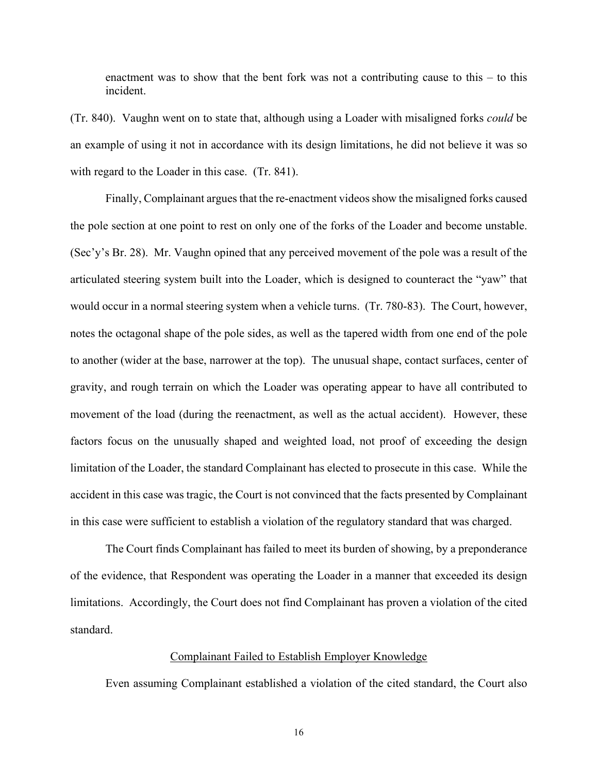enactment was to show that the bent fork was not a contributing cause to this – to this incident.

(Tr. 840). Vaughn went on to state that, although using a Loader with misaligned forks *could* be an example of using it not in accordance with its design limitations, he did not believe it was so with regard to the Loader in this case. (Tr. 841).

Finally, Complainant argues that the re-enactment videos show the misaligned forks caused the pole section at one point to rest on only one of the forks of the Loader and become unstable. (Sec'y's Br. 28). Mr. Vaughn opined that any perceived movement of the pole was a result of the articulated steering system built into the Loader, which is designed to counteract the "yaw" that would occur in a normal steering system when a vehicle turns. (Tr. 780-83). The Court, however, notes the octagonal shape of the pole sides, as well as the tapered width from one end of the pole to another (wider at the base, narrower at the top). The unusual shape, contact surfaces, center of gravity, and rough terrain on which the Loader was operating appear to have all contributed to movement of the load (during the reenactment, as well as the actual accident). However, these factors focus on the unusually shaped and weighted load, not proof of exceeding the design limitation of the Loader, the standard Complainant has elected to prosecute in this case. While the accident in this case was tragic, the Court is not convinced that the facts presented by Complainant in this case were sufficient to establish a violation of the regulatory standard that was charged.

The Court finds Complainant has failed to meet its burden of showing, by a preponderance of the evidence, that Respondent was operating the Loader in a manner that exceeded its design limitations. Accordingly, the Court does not find Complainant has proven a violation of the cited standard.

### Complainant Failed to Establish Employer Knowledge

Even assuming Complainant established a violation of the cited standard, the Court also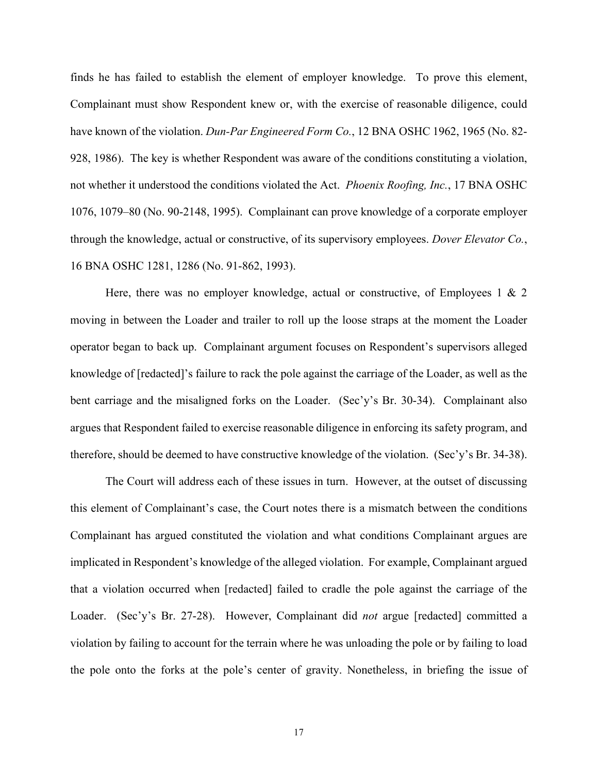finds he has failed to establish the element of employer knowledge. To prove this element, Complainant must show Respondent knew or, with the exercise of reasonable diligence, could have known of the violation. *Dun-Par Engineered Form Co.*, 12 BNA OSHC 1962, 1965 (No. 82- 928, 1986). The key is whether Respondent was aware of the conditions constituting a violation, not whether it understood the conditions violated the Act. *Phoenix Roofing, Inc.*, 17 BNA OSHC 1076, 1079–80 (No. 90-2148, 1995). Complainant can prove knowledge of a corporate employer through the knowledge, actual or constructive, of its supervisory employees. *Dover Elevator Co.*, 16 BNA OSHC 1281, 1286 (No. 91-862, 1993).

Here, there was no employer knowledge, actual or constructive, of Employees 1  $\&$  2 moving in between the Loader and trailer to roll up the loose straps at the moment the Loader operator began to back up. Complainant argument focuses on Respondent's supervisors alleged knowledge of [redacted]'s failure to rack the pole against the carriage of the Loader, as well as the bent carriage and the misaligned forks on the Loader. (Sec'y's Br. 30-34). Complainant also argues that Respondent failed to exercise reasonable diligence in enforcing its safety program, and therefore, should be deemed to have constructive knowledge of the violation. (Sec'y's Br. 34-38).

The Court will address each of these issues in turn. However, at the outset of discussing this element of Complainant's case, the Court notes there is a mismatch between the conditions Complainant has argued constituted the violation and what conditions Complainant argues are implicated in Respondent's knowledge of the alleged violation. For example, Complainant argued that a violation occurred when [redacted] failed to cradle the pole against the carriage of the Loader. (Sec'y's Br. 27-28). However, Complainant did *not* argue [redacted] committed a violation by failing to account for the terrain where he was unloading the pole or by failing to load the pole onto the forks at the pole's center of gravity. Nonetheless, in briefing the issue of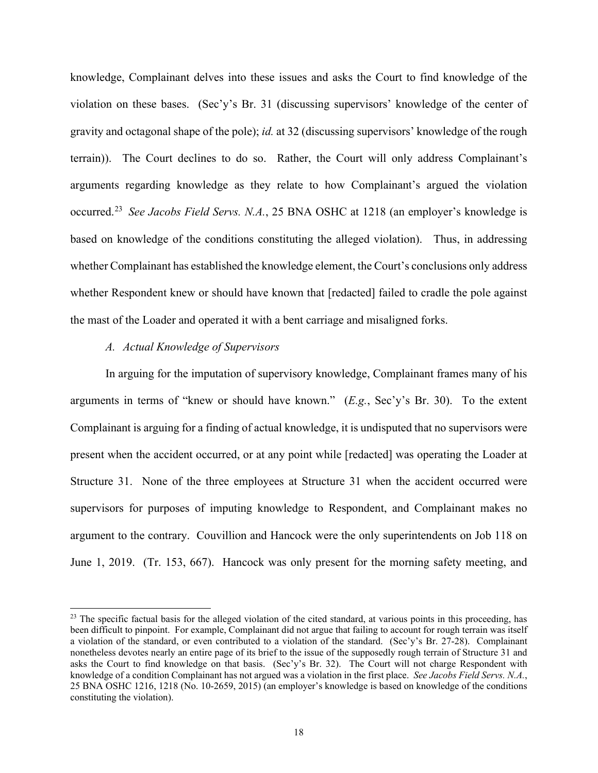knowledge, Complainant delves into these issues and asks the Court to find knowledge of the violation on these bases. (Sec'y's Br. 31 (discussing supervisors' knowledge of the center of gravity and octagonal shape of the pole); *id.* at 32 (discussing supervisors' knowledge of the rough terrain)). The Court declines to do so. Rather, the Court will only address Complainant's arguments regarding knowledge as they relate to how Complainant's argued the violation occurred. 23 *See Jacobs Field Servs. N.A.*, 25 BNA OSHC at 1218 (an employer's knowledge is based on knowledge of the conditions constituting the alleged violation). Thus, in addressing whether Complainant has established the knowledge element, the Court's conclusions only address whether Respondent knew or should have known that [redacted] failed to cradle the pole against the mast of the Loader and operated it with a bent carriage and misaligned forks.

### *A. Actual Knowledge of Supervisors*

In arguing for the imputation of supervisory knowledge, Complainant frames many of his arguments in terms of "knew or should have known." (*E.g.*, Sec'y's Br. 30). To the extent Complainant is arguing for a finding of actual knowledge, it is undisputed that no supervisors were present when the accident occurred, or at any point while [redacted] was operating the Loader at Structure 31. None of the three employees at Structure 31 when the accident occurred were supervisors for purposes of imputing knowledge to Respondent, and Complainant makes no argument to the contrary. Couvillion and Hancock were the only superintendents on Job 118 on June 1, 2019. (Tr. 153, 667). Hancock was only present for the morning safety meeting, and

<sup>&</sup>lt;sup>23</sup> The specific factual basis for the alleged violation of the cited standard, at various points in this proceeding, has been difficult to pinpoint. For example, Complainant did not argue that failing to account for rough terrain was itself a violation of the standard, or even contributed to a violation of the standard. (Sec'y's Br. 27-28). Complainant nonetheless devotes nearly an entire page of its brief to the issue of the supposedly rough terrain of Structure 31 and asks the Court to find knowledge on that basis. (Sec'y's Br. 32). The Court will not charge Respondent with knowledge of a condition Complainant has not argued was a violation in the first place. *See Jacobs Field Servs. N.A.*, 25 BNA OSHC 1216, 1218 (No. 10-2659, 2015) (an employer's knowledge is based on knowledge of the conditions constituting the violation).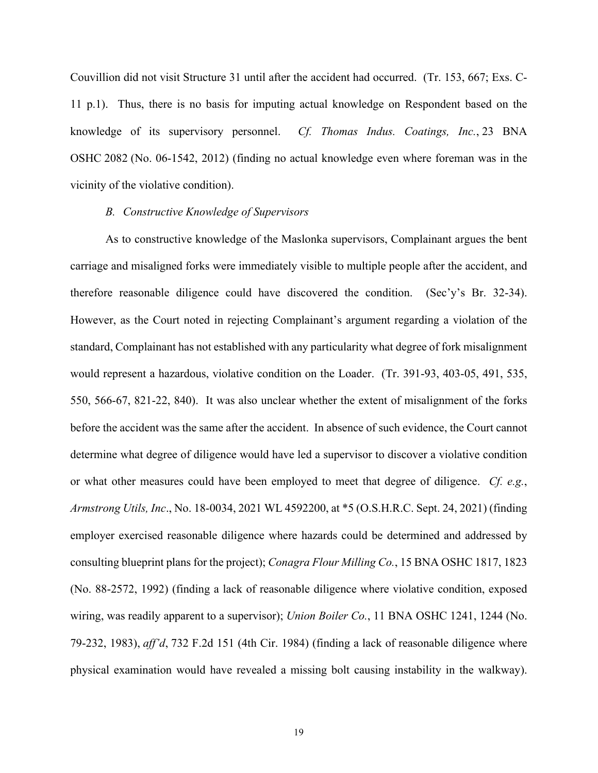Couvillion did not visit Structure 31 until after the accident had occurred. (Tr. 153, 667; Exs. C-11 p.1). Thus, there is no basis for imputing actual knowledge on Respondent based on the knowledge of its supervisory personnel. *Cf. Thomas Indus. Coatings, Inc.*, 23 BNA OSHC 2082 (No. 06-1542, 2012) (finding no actual knowledge even where foreman was in the vicinity of the violative condition).

#### *B. Constructive Knowledge of Supervisors*

As to constructive knowledge of the Maslonka supervisors, Complainant argues the bent carriage and misaligned forks were immediately visible to multiple people after the accident, and therefore reasonable diligence could have discovered the condition. (Sec'y's Br. 32-34). However, as the Court noted in rejecting Complainant's argument regarding a violation of the standard, Complainant has not established with any particularity what degree of fork misalignment would represent a hazardous, violative condition on the Loader. (Tr. 391-93, 403-05, 491, 535, 550, 566-67, 821-22, 840). It was also unclear whether the extent of misalignment of the forks before the accident was the same after the accident. In absence of such evidence, the Court cannot determine what degree of diligence would have led a supervisor to discover a violative condition or what other measures could have been employed to meet that degree of diligence. *Cf. e.g.*, *Armstrong Utils, Inc*., No. 18-0034, 2021 WL 4592200, at \*5 (O.S.H.R.C. Sept. 24, 2021) (finding employer exercised reasonable diligence where hazards could be determined and addressed by consulting blueprint plans for the project); *Conagra Flour Milling Co.*, 15 BNA OSHC 1817, 1823 (No. 88-2572, 1992) (finding a lack of reasonable diligence where violative condition, exposed wiring, was readily apparent to a supervisor); *Union Boiler Co.*, 11 BNA OSHC 1241, 1244 (No. 79-232, 1983), *aff'd*, 732 F.2d 151 (4th Cir. 1984) (finding a lack of reasonable diligence where physical examination would have revealed a missing bolt causing instability in the walkway).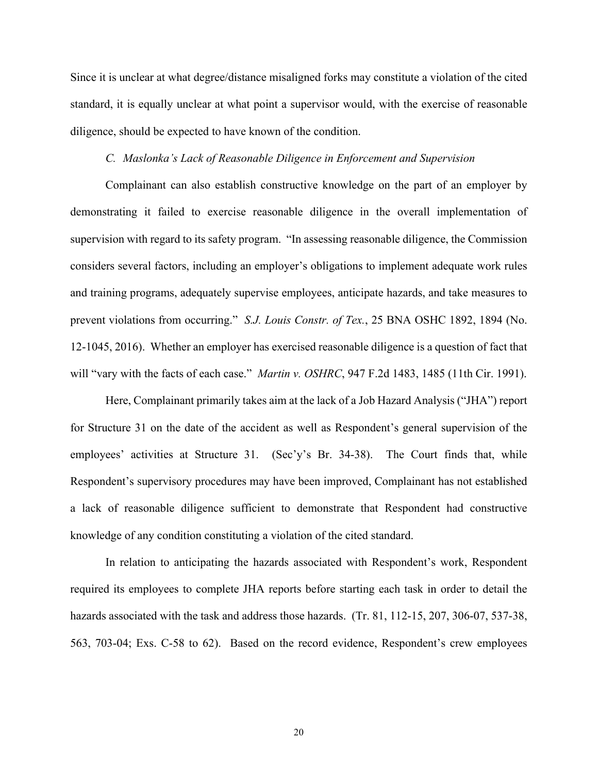Since it is unclear at what degree/distance misaligned forks may constitute a violation of the cited standard, it is equally unclear at what point a supervisor would, with the exercise of reasonable diligence, should be expected to have known of the condition.

## *C. Maslonka's Lack of Reasonable Diligence in Enforcement and Supervision*

Complainant can also establish constructive knowledge on the part of an employer by demonstrating it failed to exercise reasonable diligence in the overall implementation of supervision with regard to its safety program. "In assessing reasonable diligence, the Commission considers several factors, including an employer's obligations to implement adequate work rules and training programs, adequately supervise employees, anticipate hazards, and take measures to prevent violations from occurring." *S.J. Louis Constr. of Tex.*, 25 BNA OSHC 1892, 1894 (No. 12-1045, 2016). Whether an employer has exercised reasonable diligence is a question of fact that will "vary with the facts of each case." *Martin v. OSHRC*, 947 F.2d 1483, 1485 (11th Cir. 1991).

Here, Complainant primarily takes aim at the lack of a Job Hazard Analysis ("JHA") report for Structure 31 on the date of the accident as well as Respondent's general supervision of the employees' activities at Structure 31. (Sec'y's Br. 34-38). The Court finds that, while Respondent's supervisory procedures may have been improved, Complainant has not established a lack of reasonable diligence sufficient to demonstrate that Respondent had constructive knowledge of any condition constituting a violation of the cited standard.

In relation to anticipating the hazards associated with Respondent's work, Respondent required its employees to complete JHA reports before starting each task in order to detail the hazards associated with the task and address those hazards. (Tr. 81, 112-15, 207, 306-07, 537-38, 563, 703-04; Exs. C-58 to 62). Based on the record evidence, Respondent's crew employees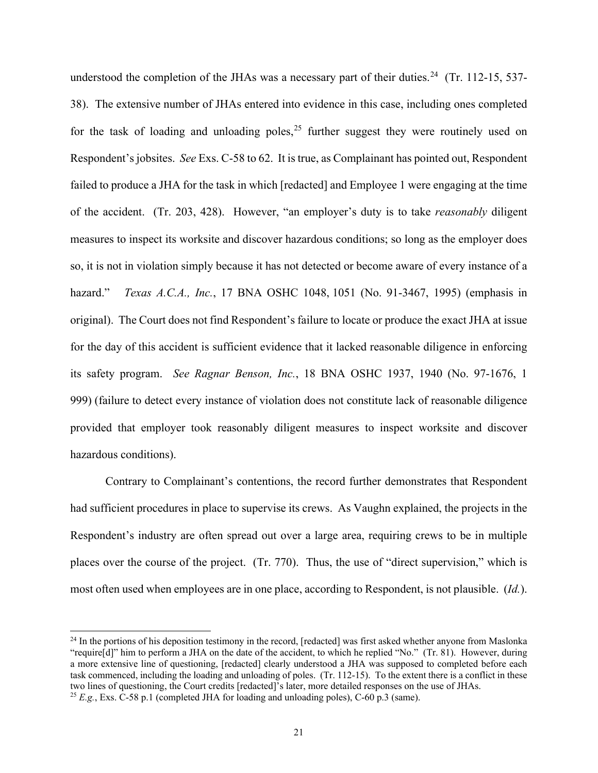understood the completion of the JHAs was a necessary part of their duties.<sup>24</sup> (Tr. 112-15, 537-38). The extensive number of JHAs entered into evidence in this case, including ones completed for the task of loading and unloading poles,<sup>25</sup> further suggest they were routinely used on Respondent's jobsites. *See* Exs. C-58 to 62. It is true, as Complainant has pointed out, Respondent failed to produce a JHA for the task in which [redacted] and Employee 1 were engaging at the time of the accident. (Tr. 203, 428). However, "an employer's duty is to take *reasonably* diligent measures to inspect its worksite and discover hazardous conditions; so long as the employer does so, it is not in violation simply because it has not detected or become aware of every instance of a hazard." *Texas A.C.A., Inc.*, 17 BNA OSHC 1048, 1051 (No. 91-3467, 1995) (emphasis in original). The Court does not find Respondent's failure to locate or produce the exact JHA at issue for the day of this accident is sufficient evidence that it lacked reasonable diligence in enforcing its safety program. *See Ragnar Benson, Inc.*, 18 BNA OSHC 1937, 1940 (No. 97-1676, 1 999) (failure to detect every instance of violation does not constitute lack of reasonable diligence provided that employer took reasonably diligent measures to inspect worksite and discover hazardous conditions).

Contrary to Complainant's contentions, the record further demonstrates that Respondent had sufficient procedures in place to supervise its crews. As Vaughn explained, the projects in the Respondent's industry are often spread out over a large area, requiring crews to be in multiple places over the course of the project. (Tr. 770). Thus, the use of "direct supervision," which is most often used when employees are in one place, according to Respondent, is not plausible. (*Id.*).

 $^{24}$  In the portions of his deposition testimony in the record, [redacted] was first asked whether anyone from Maslonka "require[d]" him to perform a JHA on the date of the accident, to which he replied "No." (Tr. 81). However, during a more extensive line of questioning, [redacted] clearly understood a JHA was supposed to completed before each task commenced, including the loading and unloading of poles. (Tr. 112-15). To the extent there is a conflict in these two lines of questioning, the Court credits [redacted]'s later, more detailed responses on the use of JHAs. <sup>25</sup> *E.g.*, Exs. C-58 p.1 (completed JHA for loading and unloading poles), C-60 p.3 (same).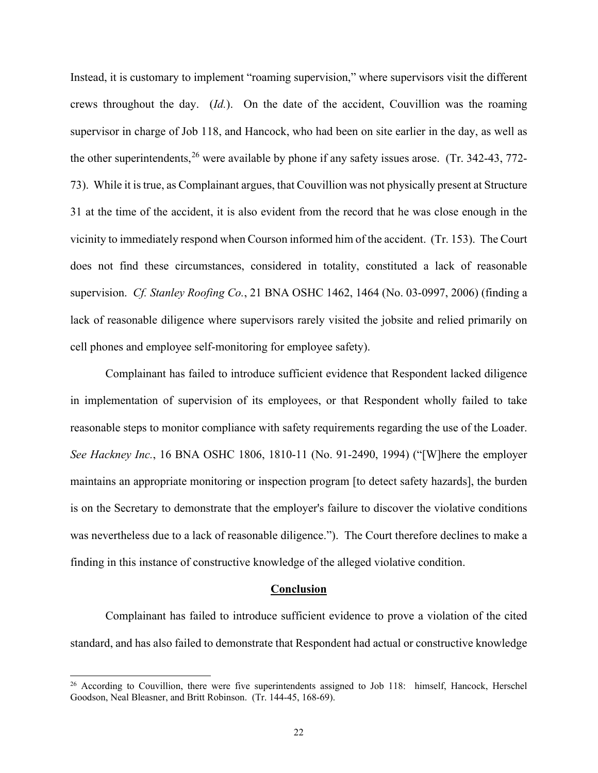Instead, it is customary to implement "roaming supervision," where supervisors visit the different crews throughout the day. (*Id.*). On the date of the accident, Couvillion was the roaming supervisor in charge of Job 118, and Hancock, who had been on site earlier in the day, as well as the other superintendents,  $26$  were available by phone if any safety issues arose. (Tr. 342-43, 772-73). While it is true, as Complainant argues, that Couvillion was not physically present at Structure 31 at the time of the accident, it is also evident from the record that he was close enough in the vicinity to immediately respond when Courson informed him of the accident. (Tr. 153). The Court does not find these circumstances, considered in totality, constituted a lack of reasonable supervision. *Cf. Stanley Roofing Co.*, 21 BNA OSHC 1462, 1464 (No. 03-0997, 2006) (finding a lack of reasonable diligence where supervisors rarely visited the jobsite and relied primarily on cell phones and employee self-monitoring for employee safety).

Complainant has failed to introduce sufficient evidence that Respondent lacked diligence in implementation of supervision of its employees, or that Respondent wholly failed to take reasonable steps to monitor compliance with safety requirements regarding the use of the Loader. *See Hackney Inc.*, 16 BNA OSHC 1806, 1810-11 (No. 91-2490, 1994) ("[W]here the employer maintains an appropriate monitoring or inspection program [to detect safety hazards], the burden is on the Secretary to demonstrate that the employer's failure to discover the violative conditions was nevertheless due to a lack of reasonable diligence."). The Court therefore declines to make a finding in this instance of constructive knowledge of the alleged violative condition.

#### **Conclusion**

Complainant has failed to introduce sufficient evidence to prove a violation of the cited standard, and has also failed to demonstrate that Respondent had actual or constructive knowledge

<sup>&</sup>lt;sup>26</sup> According to Couvillion, there were five superintendents assigned to Job 118: himself, Hancock, Herschel Goodson, Neal Bleasner, and Britt Robinson. (Tr. 144-45, 168-69).